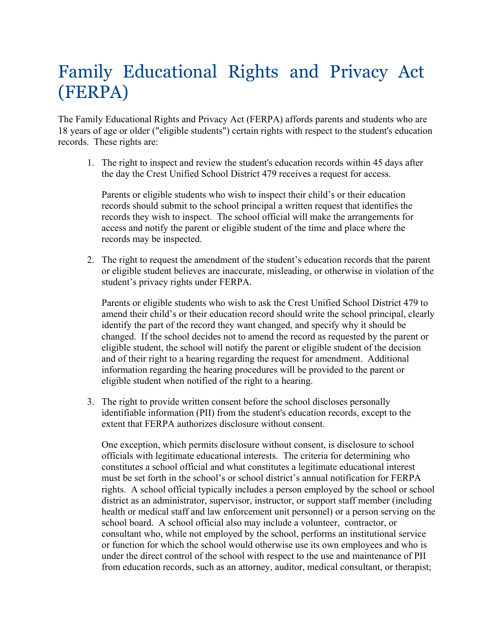## Family Educational Rights and Privacy Act (FERPA)

The Family Educational Rights and Privacy Act (FERPA) affords parents and students who are 18 years of age or older ("eligible students") certain rights with respect to the student's education records. These rights are:

1. The right to inspect and review the student's education records within 45 days after the day the Crest Unified School District 479 receives a request for access.

Parents or eligible students who wish to inspect their child's or their education records should submit to the school principal a written request that identifies the records they wish to inspect. The school official will make the arrangements for access and notify the parent or eligible student of the time and place where the records may be inspected.

2. The right to request the amendment of the student's education records that the parent or eligible student believes are inaccurate, misleading, or otherwise in violation of the student's privacy rights under FERPA.

Parents or eligible students who wish to ask the Crest Unified School District 479 to amend their child's or their education record should write the school principal, clearly identify the part of the record they want changed, and specify why it should be changed. If the school decides not to amend the record as requested by the parent or eligible student, the school will notify the parent or eligible student of the decision and of their right to a hearing regarding the request for amendment. Additional information regarding the hearing procedures will be provided to the parent or eligible student when notified of the right to a hearing.

3. The right to provide written consent before the school discloses personally identifiable information (PII) from the student's education records, except to the extent that FERPA authorizes disclosure without consent.

One exception, which permits disclosure without consent, is disclosure to school officials with legitimate educational interests. The criteria for determining who constitutes a school official and what constitutes a legitimate educational interest must be set forth in the school's or school district's annual notification for FERPA rights. A school official typically includes a person employed by the school or school district as an administrator, supervisor, instructor, or support staff member (including health or medical staff and law enforcement unit personnel) or a person serving on the school board. A school official also may include a volunteer, contractor, or consultant who, while not employed by the school, performs an institutional service or function for which the school would otherwise use its own employees and who is under the direct control of the school with respect to the use and maintenance of PII from education records, such as an attorney, auditor, medical consultant, or therapist;